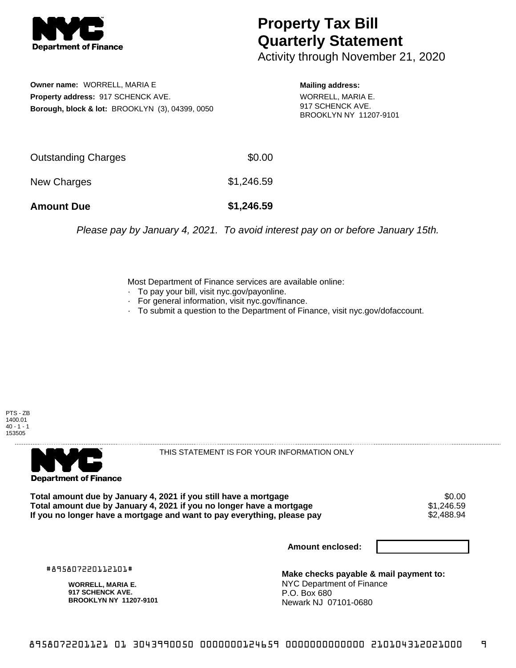

## **Property Tax Bill Quarterly Statement**

Activity through November 21, 2020

**Owner name:** WORRELL, MARIA E **Property address:** 917 SCHENCK AVE. **Borough, block & lot:** BROOKLYN (3), 04399, 0050

**Mailing address:** WORRELL, MARIA E. 917 SCHENCK AVE. BROOKLYN NY 11207-9101

| <b>Amount Due</b>   | \$1,246.59 |
|---------------------|------------|
| New Charges         | \$1,246.59 |
| Outstanding Charges | \$0.00     |

Please pay by January 4, 2021. To avoid interest pay on or before January 15th.

Most Department of Finance services are available online:

- · To pay your bill, visit nyc.gov/payonline.
- For general information, visit nyc.gov/finance.
- · To submit a question to the Department of Finance, visit nyc.gov/dofaccount.





THIS STATEMENT IS FOR YOUR INFORMATION ONLY

Total amount due by January 4, 2021 if you still have a mortgage \$0.00<br>Total amount due by January 4, 2021 if you no longer have a mortgage \$1.246.59 **Total amount due by January 4, 2021 if you no longer have a mortgage**  $$1,246.59$ **<br>If you no longer have a mortgage and want to pay everything, please pay**  $$2,488.94$ If you no longer have a mortgage and want to pay everything, please pay

**Amount enclosed:**

#895807220112101#

**WORRELL, MARIA E. 917 SCHENCK AVE. BROOKLYN NY 11207-9101**

**Make checks payable & mail payment to:** NYC Department of Finance P.O. Box 680 Newark NJ 07101-0680